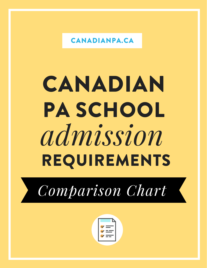CANADIANPA.CA

# *admission* CANADIAN PA SCHOOL REQUIREMENTS



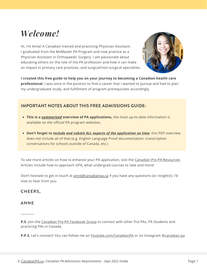# *Welcome!*

Hi, I'm Anne! A Canadian trained and practicing Physician Assistant. I graduated from the McMaster PA Program and now practice as a Physician Assistant in Orthopaedic Surgery. I am passionate about educating others on the role of the PA profession and how it can make an impact in primary care practices, and surgical/non-surgical specialties.



**I created this free guide to help you on your journey to becoming a Canadian health care professional.** I was once in the position to find a career that I wanted to pursue and had to plan my undergraduate study, and fulfillment of program prerequisites accordingly.

## **IMPORTANT NOTES ABOUT THIS FREE ADMISSIONS GUIDE:**

- **This is a** *summarized* **overview of PA applications,** the most up-to-date information is available on the official PA program websites.
- **Don't forget to** *include and submit ALL aspects of the application on time*, this PDF overview does not include all of that (e.g. English Language Proof documentation, transcription conversations for schools outside of Canada, etc.)

To see more articles on how to enhance your PA application, visit the Canadian Pre-PA [Resources.](http://canadianpa.ca/prepa) Articles include how to approach GPA, what undergrad courses to take and more!

Don't hesitate to get in touch at anne@canadianpa.ca if you have any questions (or insights!). I'd love to hear from you.

#### **CHEERS,**

#### **ANNE**

**\_\_\_\_\_\_\_\_\_**

**P.S.** Join the Canadian Pre-PA [Facebook](http://facebook.com/groups/canadaprepa) Group to connect with other Pre-PAs, PA Students and practicing PAs in Canada.

**P.P.S.** Let's connect! You can follow me on [Youtube.com/CanadianPA](http://youtube.com/CanadianPA) or on Instagram @[canadian.pa](http://instagram.com/canadian.pa)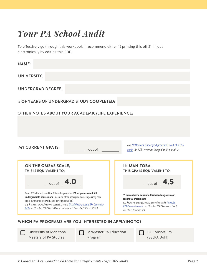# *Your PA School Audit*

To effectively go through this workbook, I recommend either 1) printing this off 2) fill out electronically by editing this PDF.

| <b>NAME:</b>                                                                                                                                                                                                                                                                                                                                                                    |                                                                                                                                                                                                                                |  |  |
|---------------------------------------------------------------------------------------------------------------------------------------------------------------------------------------------------------------------------------------------------------------------------------------------------------------------------------------------------------------------------------|--------------------------------------------------------------------------------------------------------------------------------------------------------------------------------------------------------------------------------|--|--|
| <b>UNIVERSITY:</b>                                                                                                                                                                                                                                                                                                                                                              |                                                                                                                                                                                                                                |  |  |
| <b>UNDERGRAD DEGREE:</b>                                                                                                                                                                                                                                                                                                                                                        |                                                                                                                                                                                                                                |  |  |
| # OF YEARS OF UNDERGRAD STUDY COMPLETED:                                                                                                                                                                                                                                                                                                                                        |                                                                                                                                                                                                                                |  |  |
| <b>OTHER NOTES ABOUT YOUR ACADEMIC/LIFE EXPERIENCE:</b>                                                                                                                                                                                                                                                                                                                         |                                                                                                                                                                                                                                |  |  |
|                                                                                                                                                                                                                                                                                                                                                                                 |                                                                                                                                                                                                                                |  |  |
|                                                                                                                                                                                                                                                                                                                                                                                 |                                                                                                                                                                                                                                |  |  |
| e.g. McMaster's Undergrad program is out of a 12.0<br><b>MY CURRENT GPA IS:</b><br>out of<br>scale. An 83% average is equal to 10 out of 12.                                                                                                                                                                                                                                    |                                                                                                                                                                                                                                |  |  |
| ON THE OMSAS SCALE,<br>THIS IS EQUIVALENT TO:                                                                                                                                                                                                                                                                                                                                   | IN MANITOBA,<br>THIS GPA IS EQUIVALENT TO:                                                                                                                                                                                     |  |  |
| out of 4.0                                                                                                                                                                                                                                                                                                                                                                      | out of $4.5$                                                                                                                                                                                                                   |  |  |
| Note: OMSAS is only used for Ontario PA programs. PA programs count ALL<br>undergraduate coursework (including other undergrad degrees you may have<br>done, summer coursework, and part-time studies).<br>e.g. From our example above, according to the OMSAS Undergraduate GPA Conversion<br>table, our 10 out of 12 GPA at McMaster converts to 3.7 out of 4.0 GPA on OMSAS. | ** Remember to calculate this based on your most<br>recent 60 credit hours<br>e.g. From our example above, according to the Manitoba<br>GPA Conversion scale, our 10 out of 12 GPA converts to 4.0<br>out of 4.5 Manitoba GPA. |  |  |
| WHICH PA PROGRAMS ARE YOU INTERESTED IN APPLYING TO?                                                                                                                                                                                                                                                                                                                            |                                                                                                                                                                                                                                |  |  |

University of Manitoba Masters of PA Studies

McMaster PA Education Program

PA Consortium (BScPA UofT)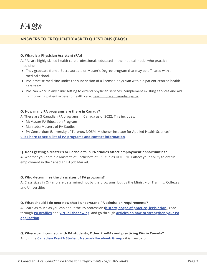### **ANSWERS TO FREQUENTLY ASKED QUESTIONS (FAQS)**

#### **Q. What is a Physician Assistant (PA)?**

**A.** PAs are highly skilled health care professionals educated in the medical model who practice medicine:

- They graduate from a Baccalaureate or Master's Degree program that may be affiliated with a medical school.
- PAs practise medicine under the supervision of a licensed physician within a patient-centred health care team.
- PAs can work in any clinic setting to extend physician services, complement existing services and aid in improving patient access to health care. Learn more at [canadianpa.ca.](http://canadianpa.ca/whatisapa)

#### **Q. How many PA programs are there in Canada?**

A. There are 3 Canadian PA programs in Canada as of 2022. This includes:

- McMaster PA Education Program
- Manitoba Masters of PA Studies
- PA Consortium (University of Toronto, NOSM, Michener Institute for Applied Health Sciences)

**Click here to see a list of PA programs and contact [information](http://canadianpa.ca/paprograms)**.

#### **Q. Does getting a Master's or Bachelor's in PA studies affect employment opportunities?**

**A.** Whether you obtain a Master's of Bachelor's of PA Studies DOES NOT affect your ability to obtain employment in the Canadian PA Job Market.

#### **Q. Who determines the class sizes of PA programs?**

**A.** Class sizes in Ontario are determined not by the programs, but by the Ministry of Training, Colleges and Universities.

#### **Q. What should I do next now that I understand PA admission requirements?**

**A.** Learn as much as you can about the PA profession (**history, scope of practice, [legislation](http://canadianpa.ca/whatisapa)**), read through **PA [profiles](http://canadianpa.ca/paprofiles)** and **virtual [shadowing](https://www.parsec.live/pashadowing.html)**, and go through **articles on how to strengthen your PA [application](http://canadianpa.ca/prepa)**.

#### **Q. Where can I connect with PA students, Other Pre-PAs and practicing PAs in Canada?**

**A.** Join the **Canadian Pre-PA Student Network [Facebook](https://www.facebook.com/groups/canadaprepa/) Group** - it is free to join!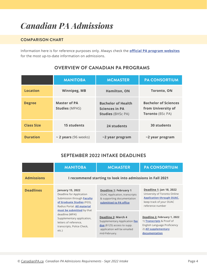# *Canadian PA Admissions*

## **COMPARISON CHART**

Information here is for reference purposes only. Always check the **official PA program [websites](http://canadianpa.ca/paprograms)** for the most up-to-date information on admissions.

|                   | <b>MANITOBA</b>                              | <b>MCMASTER</b>                                                                | <b>PA CONSORTIUM</b>                                                         |
|-------------------|----------------------------------------------|--------------------------------------------------------------------------------|------------------------------------------------------------------------------|
| <b>Location</b>   | <b>Winnipeg, MB</b>                          | <b>Hamilton, ON</b>                                                            | <b>Toronto, ON</b>                                                           |
| <b>Degree</b>     | <b>Master of PA</b><br><b>Studies (MPAS)</b> | <b>Bachelor of Health</b><br><b>Sciences in PA</b><br><b>Studies</b> (BHSc PA) | <b>Bachelor of Sciences</b><br>from University of<br><b>Toronto (BSc PA)</b> |
| <b>Class Size</b> | <b>15 students</b>                           | 24 students                                                                    | <b>30 students</b>                                                           |
| <b>Duration</b>   | ~ 2 years (96 weeks)                         | ~2 year program                                                                | ~2 year program                                                              |

# **OVERVIEW OF CANADIAN PA PROGRAMS**

## **SEPTEMBER 2022 INTAKE DEADLINES**

|                   | <b>MANITOBA</b>                                                                                                                                | <b>MCMASTER</b>                                                                                                                     | <b>PA CONSORTIUM</b>                                                                                                                        |
|-------------------|------------------------------------------------------------------------------------------------------------------------------------------------|-------------------------------------------------------------------------------------------------------------------------------------|---------------------------------------------------------------------------------------------------------------------------------------------|
| <b>Admissions</b> |                                                                                                                                                | I recommend starting to look into admissions in Fall 2021                                                                           |                                                                                                                                             |
| <b>Deadlines</b>  | <b>January 15, 2022</b><br>Deadline for Application<br>Submission through Faculty<br>of Graduate Studies (FGS),<br>Radius Portal. All material | Deadline 1: February 1<br><b>OUAC Application, transcripts</b><br>& supporting documentation<br>submitted to PA office              | Deadline 1: Jan 18, 2022<br>University of Toronto Online<br><b>Application through OUAC,</b><br>keep track of your OUAC<br>reference number |
|                   | must be submitted by that<br>deadline (MPAS<br>Supplementary application,<br>letters of reference,<br>transcripts, Police Check,<br>etc.)      | Deadline 2: March 4<br>Supplementary Application fee<br>due (\$125) access to supp.<br>application will be emailed<br>mid-February. | Deadline 2: February 1, 2022<br>1) <b>Transcripts</b> & Proof of<br>English Language Proficiency<br>2) All supplementary<br>documentation   |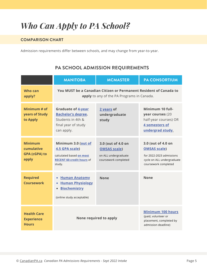# *Who Can Apply to PA School?*

## **COMPARISON CHART**

Admission requirements differ between schools, and may change from year-to-year.

# **PA SCHOOL ADMISSION REQUIREMENTS**

|                                                               | <b>MANITOBA</b>                                                                                                            | <b>MCMASTER</b>                                                                           | <b>PA CONSORTIUM</b>                                                                                                        |
|---------------------------------------------------------------|----------------------------------------------------------------------------------------------------------------------------|-------------------------------------------------------------------------------------------|-----------------------------------------------------------------------------------------------------------------------------|
| <b>Who can</b><br>apply?                                      | You MUST be a Canadian Citizen or Permanent Resident of Canada to<br>apply to any of the PA Programs in Canada.            |                                                                                           |                                                                                                                             |
| Minimum # of<br>years of Study<br>to Apply                    | <b>Graduate of 4-year</b><br><b>Bachelor's degree.</b><br>Students in 4th &<br>final year of study<br>can apply.           | 2 years of<br>undergraduate<br>study                                                      | Minimum 10 full-<br>year courses (20<br>half-year courses) OR<br>4 semesters of<br>undergrad study.                         |
| <b>Minimum</b><br>cumulative<br><b>GPA (cGPA) to</b><br>apply | Minimum 3.0 (out of<br>4.5 GPA scale)<br>calculated based on most<br><b>RECENT 60-credit hours of</b><br>study.            | 3.0 (out of 4.0 on<br><b>OMSAS scale)</b><br>on ALL undergraduate<br>coursework completed | 3.0 (out of 4.0 on<br><b>OMSAS scale)</b><br>for 2022-2023 admissions<br>cycle on ALL undergraduate<br>coursework completed |
| <b>Required</b><br><b>Coursework</b>                          | <b>Human Anatomy</b><br>٠<br><b>Human Physiology</b><br>٠<br><b>Biochemistry</b><br>$\bullet$<br>(online study acceptable) | <b>None</b>                                                                               | <b>None</b>                                                                                                                 |
| <b>Health Care</b><br><b>Experience</b><br><b>Hours</b>       | None required to apply                                                                                                     |                                                                                           | <b>Minimum 100 hours</b><br>(paid, volunteer or<br>placement, completed by<br>admission deadline)                           |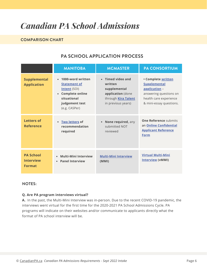# *Canadian PA School Admissions*

### **COMPARISON CHART**

# **PA SCHOOL APPLICATION PROCESS**

|                                                       | <b>MANITOBA</b>                                                                                                                                   | <b>MCMASTER</b>                                                                                                | <b>PA CONSORTIUM</b>                                                                                                                      |
|-------------------------------------------------------|---------------------------------------------------------------------------------------------------------------------------------------------------|----------------------------------------------------------------------------------------------------------------|-------------------------------------------------------------------------------------------------------------------------------------------|
| <b>Supplemental</b><br><b>Application</b>             | 1000-word written<br>$\bullet$<br><b>Statement of</b><br>Intent (SOI)<br><b>Complete online</b><br>situational<br>judgement test<br>(e.g. CASPer) | • Timed video and<br>written<br>supplemental<br>application (done<br>through Kira Talent<br>in previous years) | • Complete written<br><b>Supplemental</b><br>application -<br>answering questions on<br>health care experience<br>& mini-essay questions. |
| <b>Letters of</b><br><b>Reference</b>                 | <b>Two letters of</b><br>recommendation<br>required                                                                                               | • None required, any<br>submitted NOT<br>reviewed                                                              | <b>One Reference submits</b><br>an <b>Online Confidential</b><br><b>Applicant Reference</b><br><b>Form</b>                                |
| <b>PA School</b><br><b>Interview</b><br><b>Format</b> | <b>Multi-Mini Interview</b><br>$\bullet$<br><b>Panel Interview</b><br>$\bullet$                                                                   | <b>Multi-Mini Interview</b><br>(MMI)                                                                           | <b>Virtual Multi-Mini</b><br><b>Interview (vMMI)</b>                                                                                      |

#### **NOTES:**

#### **Q. Are PA program interviews virtual?**

**A.** In the past, the Multi-Mini Interview was in-person. Due to the recent COVID-19 pandemic, the interviews went virtual for the first time for the 2020-2021 PA School Admissions Cycle. PA programs will indicate on their websites and/or communicate to applicants directly what the format of PA school interview will be.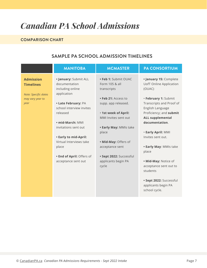# *Canadian PA School Admissions*

## **COMPARISON CHART**

# **SAMPLE PA SCHOOL ADMISSION TIMELINES**

|                                                                                          | <b>MANITOBA</b>                                                                                                                                                                                                                                                                                       | <b>MCMASTER</b>                                                                                                                                                                                                                                                                              | <b>PA CONSORTIUM</b>                                                                                                                                                                                                                                                                                                                                                                                                              |
|------------------------------------------------------------------------------------------|-------------------------------------------------------------------------------------------------------------------------------------------------------------------------------------------------------------------------------------------------------------------------------------------------------|----------------------------------------------------------------------------------------------------------------------------------------------------------------------------------------------------------------------------------------------------------------------------------------------|-----------------------------------------------------------------------------------------------------------------------------------------------------------------------------------------------------------------------------------------------------------------------------------------------------------------------------------------------------------------------------------------------------------------------------------|
| <b>Admission</b><br><b>Timelines</b><br>Note: Specific dates<br>may vary year to<br>year | · January: Submit ALL<br>documentation<br>including online<br>application<br>• Late February: PA<br>school interview invites<br>released<br>• mid-March: MMI<br>invitations sent out<br>• Early to mid-April:<br>Virtual Interviews take<br>place<br>. End of April: Offers of<br>acceptance sent out | • Feb 1: Submit OUAC<br>Form 105 & all<br>transcripts<br>· Feb 21: Access to<br>supp. app released.<br>· 1st week of April:<br>MMI Invites sent out<br>• Early May: MMIs take<br>place<br>. Mid-May: Offers of<br>acceptance sent<br>· Sept 2022: Successful<br>applicants begin PA<br>cycle | · January 15: Complete<br><b>UofT Online Application</b><br>(OUAC)<br>· February 1: Submit<br>Transcripts and Proof of<br>English Language<br>Proficiency; and submit<br><b>ALL supplemental</b><br>documentation.<br>· Early April: MMI<br>Invites sent out.<br>• Early May: MMIs take<br>place<br>. Mid-May: Notice of<br>acceptance sent out to<br>students<br>· Sept 2022: Successful<br>applicants begin PA<br>school cycle. |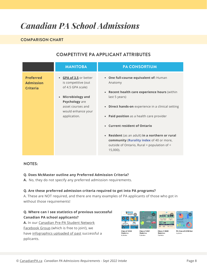# *Canadian PA School Admissions*

## **COMPARISON CHART**

# **COMPETITIVE PA APPLICANT ATTRIBUTES**

|                                                         | <b>MANITOBA</b>                                                                                                                                                                         | <b>PA CONSORTIUM</b>                                                                                                                                                                                                                                                                                                                                                                                                                                                    |
|---------------------------------------------------------|-----------------------------------------------------------------------------------------------------------------------------------------------------------------------------------------|-------------------------------------------------------------------------------------------------------------------------------------------------------------------------------------------------------------------------------------------------------------------------------------------------------------------------------------------------------------------------------------------------------------------------------------------------------------------------|
| <b>Preferred</b><br><b>Admission</b><br><b>Criteria</b> | • GPA of 3.5 or better<br>is competitive (out<br>of 4.5 GPA scale)<br><b>Microbiology and</b><br>$\bullet$<br>Psychology are<br>asset courses and<br>would enhance your<br>application. | • One full-course equivalent of: Human<br>Anatomy<br>Recent health care experience hours (within<br>$\bullet$<br>last 5 years)<br>• Direct hands-on experience in a clinical setting<br>Paid position as a health care provider<br>$\bullet$<br><b>Current resident of Ontario</b><br>$\bullet$<br>Resident (as an adult) in a northern or rural<br>$\bullet$<br>community (Rurality index of 40 or more,<br>outside of Ontario, Rural = population of <<br>$15,000$ ). |

#### **NOTES:**

#### **Q. Does McMaster outline any Preferred Admission Criteria?**

**A.** No, they do not specify any preferred admission requirements.

#### **Q. Are these preferred admission criteria required to get into PA programs?**

A. These are NOT required, and there are many examples of PA applicants of those who got in without those requirements!

#### **Q. Where can I see statistics of previous successful Canadian PA school applicants?**

**A.** In our [Canadian](https://www.facebook.com/groups/canadaprepa/) Pre-PA Student Network [Facebook](https://www.facebook.com/groups/canadaprepa/) Group (which is free to join!), we have [infographics](https://www.facebook.com/groups/1279122405459500/media/albums) uploaded of past successful a pplicants.